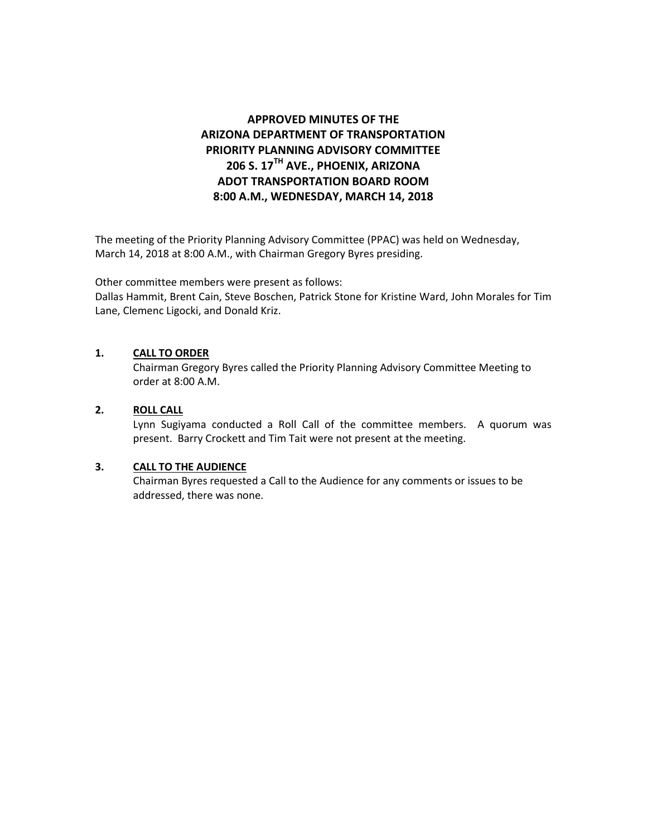# **APPROVED MINUTES OF THE ARIZONA DEPARTMENT OF TRANSPORTATION PRIORITY PLANNING ADVISORY COMMITTEE 206 S. 17TH AVE., PHOENIX, ARIZONA ADOT TRANSPORTATION BOARD ROOM 8:00 A.M., WEDNESDAY, MARCH 14, 2018**

The meeting of the Priority Planning Advisory Committee (PPAC) was held on Wednesday, March 14, 2018 at 8:00 A.M., with Chairman Gregory Byres presiding.

Other committee members were present as follows: Dallas Hammit, Brent Cain, Steve Boschen, Patrick Stone for Kristine Ward, John Morales for Tim Lane, Clemenc Ligocki, and Donald Kriz.

### **1. CALL TO ORDER**

Chairman Gregory Byres called the Priority Planning Advisory Committee Meeting to order at 8:00 A.M.

## **2. ROLL CALL**

Lynn Sugiyama conducted a Roll Call of the committee members. A quorum was present. Barry Crockett and Tim Tait were not present at the meeting.

#### **3. CALL TO THE AUDIENCE**

Chairman Byres requested a Call to the Audience for any comments or issues to be addressed, there was none.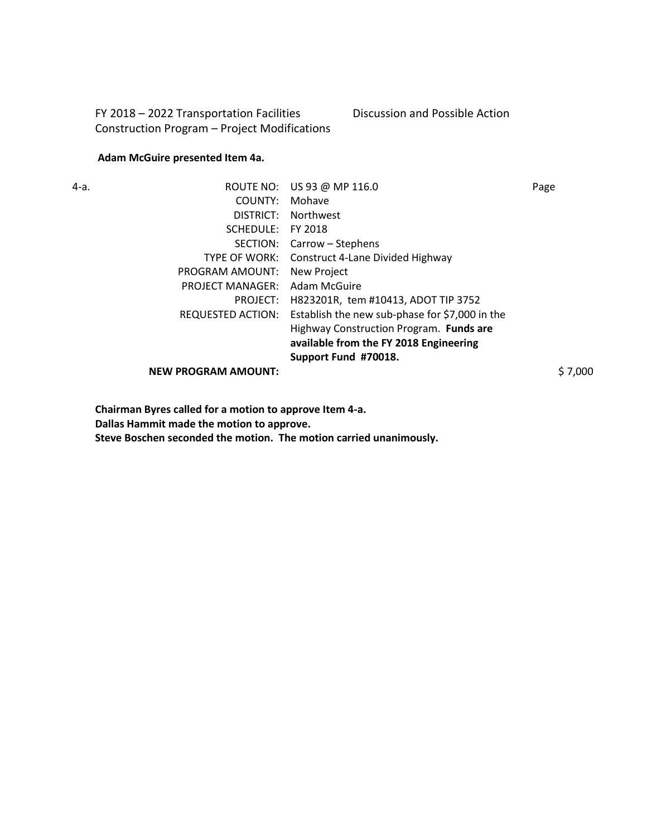FY 2018 – 2022 Transportation Facilities Construction Program – Project Modifications Discussion and Possible Action

## **Adam McGuire presented Item 4a.**

| 4-a. |                            | ROUTE NO: US 93 @ MP 116.0                     | Page    |
|------|----------------------------|------------------------------------------------|---------|
|      | COUNTY:                    | Mohave                                         |         |
|      | DISTRICT:                  | Northwest                                      |         |
|      | SCHEDULE:                  | FY 2018                                        |         |
|      | SECTION:                   | Carrow – Stephens                              |         |
|      | <b>TYPE OF WORK:</b>       | Construct 4-Lane Divided Highway               |         |
|      | PROGRAM AMOUNT:            | New Project                                    |         |
|      | <b>PROJECT MANAGER:</b>    | Adam McGuire                                   |         |
|      | PROJECT:                   | H823201R, tem #10413, ADOT TIP 3752            |         |
|      | REQUESTED ACTION:          | Establish the new sub-phase for \$7,000 in the |         |
|      |                            | Highway Construction Program. Funds are        |         |
|      |                            | available from the FY 2018 Engineering         |         |
|      |                            | Support Fund #70018.                           |         |
|      | <b>NEW PROGRAM AMOUNT:</b> |                                                | S 7.000 |

**Chairman Byres called for a motion to approve Item 4-a. Dallas Hammit made the motion to approve. Steve Boschen seconded the motion. The motion carried unanimously.**